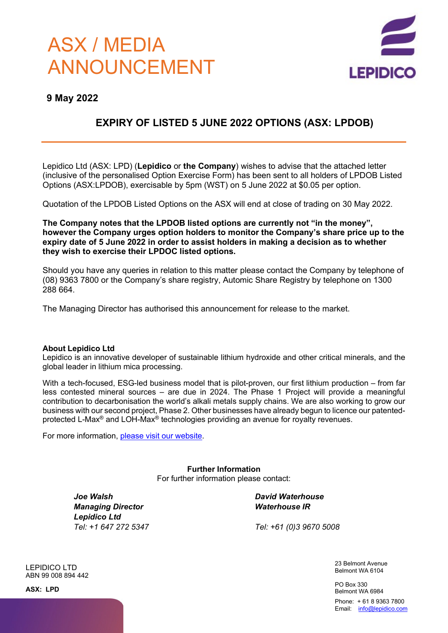# ASX / MEDIA ANNOUNCEMENT



### **9 May 2022**

## **EXPIRY OF LISTED 5 JUNE 2022 OPTIONS (ASX: LPDOB)**

Lepidico Ltd (ASX: LPD) (**Lepidico** or **the Company**) wishes to advise that the attached letter (inclusive of the personalised Option Exercise Form) has been sent to all holders of LPDOB Listed Options (ASX:LPDOB), exercisable by 5pm (WST) on 5 June 2022 at \$0.05 per option.

Quotation of the LPDOB Listed Options on the ASX will end at close of trading on 30 May 2022.

**The Company notes that the LPDOB listed options are currently not "in the money", however the Company urges option holders to monitor the Company's share price up to the expiry date of 5 June 2022 in order to assist holders in making a decision as to whether they wish to exercise their LPDOC listed options.**

Should you have any queries in relation to this matter please contact the Company by telephone of (08) 9363 7800 or the Company's share registry, Automic Share Registry by telephone on 1300 288 664.

The Managing Director has authorised this announcement for release to the market.

#### **About Lepidico Ltd**

Lepidico is an innovative developer of sustainable lithium hydroxide and other critical minerals, and the global leader in lithium mica processing.

With a tech-focused, ESG-led business model that is pilot-proven, our first lithium production – from far less contested mineral sources – are due in 2024. The Phase 1 Project will provide a meaningful contribution to decarbonisation the world's alkali metals supply chains. We are also working to grow our business with our second project, Phase 2. Other businesses have already begun to licence our patentedprotected L-Max® and LOH-Max® technologies providing an avenue for royalty revenues.

For more information, please visit our website.

**Further Information** For further information please contact:

*Joe Walsh Managing Director Lepidico Ltd Tel: +1 647 272 5347* *David Waterhouse Waterhouse IR*

*Tel: +61 (0)3 9670 5008*

23 Belmont Avenue Belmont WA 6104

PO Box 330 Belmont WA 6984

Phone: + 61 8 9363 7800 Email: info@lepidico.com

LEPIDICO LTD ABN 99 008 894 442

**ASX: LPD**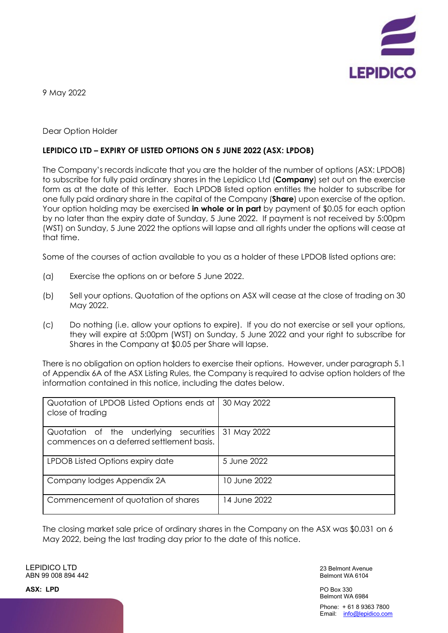

9 May 2022

#### Dear Option Holder

#### **LEPIDICO LTD – EXPIRY OF LISTED OPTIONS ON 5 JUNE 2022 (ASX: LPDOB)**

The Company's records indicate that you are the holder of the number of options (ASX: LPDOB) to subscribe for fully paid ordinary shares in the Lepidico Ltd (**Company**) set out on the exercise form as at the date of this letter. Each LPDOB listed option entitles the holder to subscribe for one fully paid ordinary share in the capital of the Company (**Share**) upon exercise of the option. Your option holding may be exercised **in whole or in part** by payment of \$0.05 for each option by no later than the expiry date of Sunday, 5 June 2022. If payment is not received by 5:00pm (WST) on Sunday, 5 June 2022 the options will lapse and all rights under the options will cease at that time.

Some of the courses of action available to you as a holder of these LPDOB listed options are:

- (a) Exercise the options on or before 5 June 2022.
- (b) Sell your options. Quotation of the options on ASX will cease at the close of trading on 30 May 2022.
- (c) Do nothing (i.e. allow your options to expire). If you do not exercise or sell your options, they will expire at 5:00pm (WST) on Sunday, 5 June 2022 and your right to subscribe for Shares in the Company at \$0.05 per Share will lapse.

There is no obligation on option holders to exercise their options. However, under paragraph 5.1 of Appendix 6A of the ASX Listing Rules, the Company is required to advise option holders of the information contained in this notice, including the dates below.

| Quotation of LPDOB Listed Options ends at<br>close of trading                          | 30 May 2022  |
|----------------------------------------------------------------------------------------|--------------|
| Quotation of the underlying<br>securities<br>commences on a deferred settlement basis. | 31 May 2022  |
| LPDOB Listed Options expiry date                                                       | 5 June 2022  |
| Company lodges Appendix 2A                                                             | 10 June 2022 |
| Commencement of quotation of shares                                                    | 14 June 2022 |

The closing market sale price of ordinary shares in the Company on the ASX was \$0.031 on 6 May 2022, being the last trading day prior to the date of this notice.

LEPIDICO LTD ABN 99 008 894 442

23 Belmont Avenue Belmont WA 6104

PO Box 330 Belmont WA 6984 Phone: + 61 8 9363 7800 Email: info@lepidico.com

**ASX: LPD**